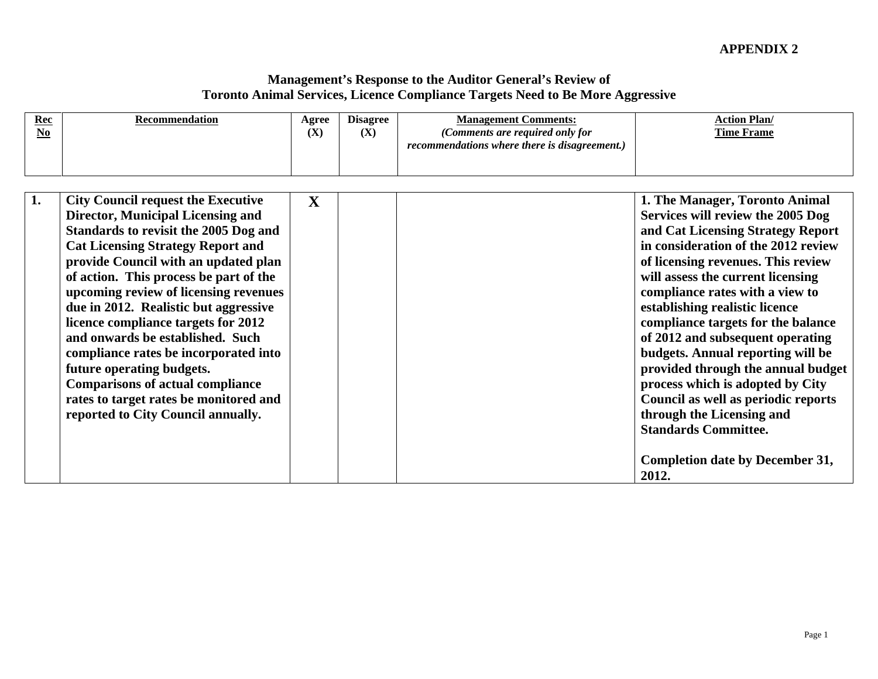| $\frac{\text{Rec}}{\text{No}}$ | Recommendation                                                                                                                                                                                                                                                                                                                                                                                                                                                                                                                                                                                                             | Agree<br>(X) | <b>Disagree</b><br>(X) | <b>Management Comments:</b><br>(Comments are required only for<br>recommendations where there is disagreement.) | <b>Action Plan/</b><br><b>Time Frame</b>                                                                                                                                                                                                                                                                                                                                                                                                                                                                                                                                                                                                |
|--------------------------------|----------------------------------------------------------------------------------------------------------------------------------------------------------------------------------------------------------------------------------------------------------------------------------------------------------------------------------------------------------------------------------------------------------------------------------------------------------------------------------------------------------------------------------------------------------------------------------------------------------------------------|--------------|------------------------|-----------------------------------------------------------------------------------------------------------------|-----------------------------------------------------------------------------------------------------------------------------------------------------------------------------------------------------------------------------------------------------------------------------------------------------------------------------------------------------------------------------------------------------------------------------------------------------------------------------------------------------------------------------------------------------------------------------------------------------------------------------------------|
|                                | <b>City Council request the Executive</b><br><b>Director, Municipal Licensing and</b><br>Standards to revisit the 2005 Dog and<br><b>Cat Licensing Strategy Report and</b><br>provide Council with an updated plan<br>of action. This process be part of the<br>upcoming review of licensing revenues<br>due in 2012. Realistic but aggressive<br>licence compliance targets for 2012<br>and onwards be established. Such<br>compliance rates be incorporated into<br>future operating budgets.<br><b>Comparisons of actual compliance</b><br>rates to target rates be monitored and<br>reported to City Council annually. | $\mathbf{X}$ |                        |                                                                                                                 | 1. The Manager, Toronto Animal<br>Services will review the 2005 Dog<br>and Cat Licensing Strategy Report<br>in consideration of the 2012 review<br>of licensing revenues. This review<br>will assess the current licensing<br>compliance rates with a view to<br>establishing realistic licence<br>compliance targets for the balance<br>of 2012 and subsequent operating<br>budgets. Annual reporting will be<br>provided through the annual budget<br>process which is adopted by City<br>Council as well as periodic reports<br>through the Licensing and<br><b>Standards Committee.</b><br>Completion date by December 31,<br>2012. |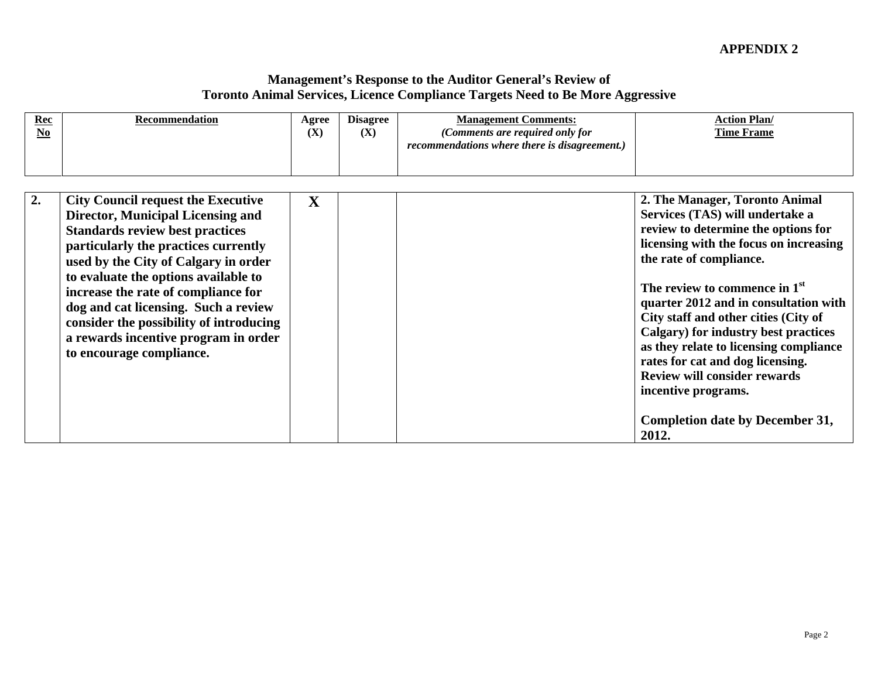| $\frac{\text{Rec}}{\text{No}}$ | Recommendation                                                                                                                                                                                                                                                                                                                                                                                                                                        | (X)          | Agree Disagree<br>(X) | <b>Management Comments:</b><br>(Comments are required only for<br>recommendations where there is disagreement.) | <b>Action Plan/</b><br><b>Time Frame</b>                                                                                                                                                                                                                                                                                                                                                                                                                                                                                          |
|--------------------------------|-------------------------------------------------------------------------------------------------------------------------------------------------------------------------------------------------------------------------------------------------------------------------------------------------------------------------------------------------------------------------------------------------------------------------------------------------------|--------------|-----------------------|-----------------------------------------------------------------------------------------------------------------|-----------------------------------------------------------------------------------------------------------------------------------------------------------------------------------------------------------------------------------------------------------------------------------------------------------------------------------------------------------------------------------------------------------------------------------------------------------------------------------------------------------------------------------|
|                                | <b>City Council request the Executive</b><br><b>Director, Municipal Licensing and</b><br><b>Standards review best practices</b><br>particularly the practices currently<br>used by the City of Calgary in order<br>to evaluate the options available to<br>increase the rate of compliance for<br>dog and cat licensing. Such a review<br>consider the possibility of introducing<br>a rewards incentive program in order<br>to encourage compliance. | $\mathbf{X}$ |                       |                                                                                                                 | 2. The Manager, Toronto Animal<br>Services (TAS) will undertake a<br>review to determine the options for<br>licensing with the focus on increasing<br>the rate of compliance.<br>The review to commence in $1st$<br>quarter 2012 and in consultation with<br>City staff and other cities (City of<br>Calgary) for industry best practices<br>as they relate to licensing compliance<br>rates for cat and dog licensing.<br><b>Review will consider rewards</b><br>incentive programs.<br>Completion date by December 31,<br>2012. |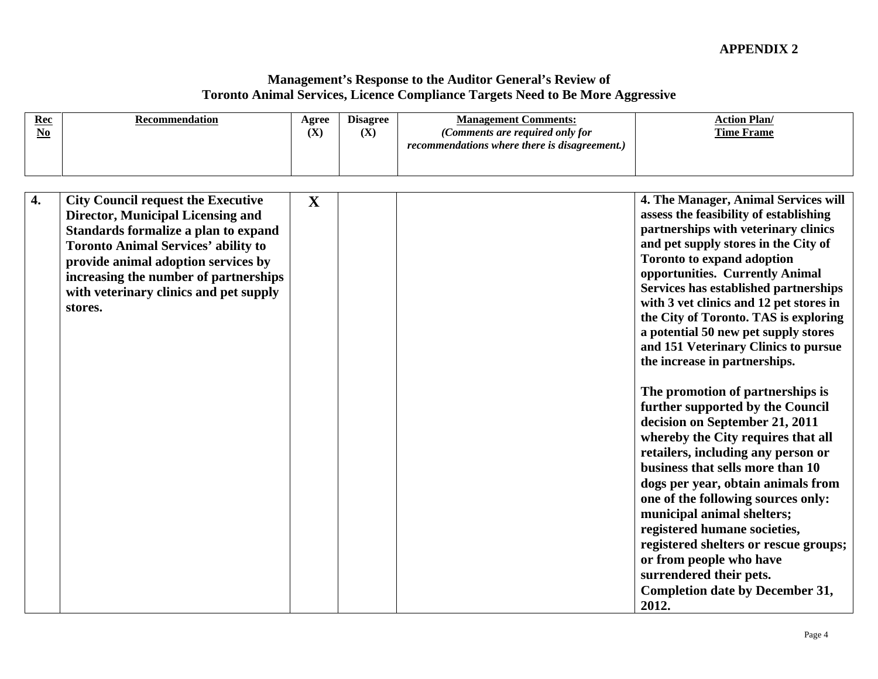| recommendations where there is disagreement.)<br>4. The Manager, Animal Services will<br><b>City Council request the Executive</b><br>$\mathbf{X}$<br>assess the feasibility of establishing<br><b>Director, Municipal Licensing and</b><br>partnerships with veterinary clinics<br>Standards formalize a plan to expand<br>and pet supply stores in the City of<br><b>Toronto Animal Services' ability to</b><br>Toronto to expand adoption<br>provide animal adoption services by<br>opportunities. Currently Animal<br>  increasing the number of partnerships  <br>Services has established partnerships<br>with veterinary clinics and pet supply<br>with 3 vet clinics and 12 pet stores in<br>stores.<br>the City of Toronto. TAS is exploring<br>a potential 50 new pet supply stores<br>and 151 Veterinary Clinics to pursue<br>the increase in partnerships. |
|------------------------------------------------------------------------------------------------------------------------------------------------------------------------------------------------------------------------------------------------------------------------------------------------------------------------------------------------------------------------------------------------------------------------------------------------------------------------------------------------------------------------------------------------------------------------------------------------------------------------------------------------------------------------------------------------------------------------------------------------------------------------------------------------------------------------------------------------------------------------|
|                                                                                                                                                                                                                                                                                                                                                                                                                                                                                                                                                                                                                                                                                                                                                                                                                                                                        |
|                                                                                                                                                                                                                                                                                                                                                                                                                                                                                                                                                                                                                                                                                                                                                                                                                                                                        |
|                                                                                                                                                                                                                                                                                                                                                                                                                                                                                                                                                                                                                                                                                                                                                                                                                                                                        |
|                                                                                                                                                                                                                                                                                                                                                                                                                                                                                                                                                                                                                                                                                                                                                                                                                                                                        |
|                                                                                                                                                                                                                                                                                                                                                                                                                                                                                                                                                                                                                                                                                                                                                                                                                                                                        |
|                                                                                                                                                                                                                                                                                                                                                                                                                                                                                                                                                                                                                                                                                                                                                                                                                                                                        |
|                                                                                                                                                                                                                                                                                                                                                                                                                                                                                                                                                                                                                                                                                                                                                                                                                                                                        |
|                                                                                                                                                                                                                                                                                                                                                                                                                                                                                                                                                                                                                                                                                                                                                                                                                                                                        |
|                                                                                                                                                                                                                                                                                                                                                                                                                                                                                                                                                                                                                                                                                                                                                                                                                                                                        |
|                                                                                                                                                                                                                                                                                                                                                                                                                                                                                                                                                                                                                                                                                                                                                                                                                                                                        |
|                                                                                                                                                                                                                                                                                                                                                                                                                                                                                                                                                                                                                                                                                                                                                                                                                                                                        |
|                                                                                                                                                                                                                                                                                                                                                                                                                                                                                                                                                                                                                                                                                                                                                                                                                                                                        |
|                                                                                                                                                                                                                                                                                                                                                                                                                                                                                                                                                                                                                                                                                                                                                                                                                                                                        |
|                                                                                                                                                                                                                                                                                                                                                                                                                                                                                                                                                                                                                                                                                                                                                                                                                                                                        |
| The promotion of partnerships is                                                                                                                                                                                                                                                                                                                                                                                                                                                                                                                                                                                                                                                                                                                                                                                                                                       |
| further supported by the Council                                                                                                                                                                                                                                                                                                                                                                                                                                                                                                                                                                                                                                                                                                                                                                                                                                       |
| decision on September 21, 2011                                                                                                                                                                                                                                                                                                                                                                                                                                                                                                                                                                                                                                                                                                                                                                                                                                         |
| whereby the City requires that all                                                                                                                                                                                                                                                                                                                                                                                                                                                                                                                                                                                                                                                                                                                                                                                                                                     |
| retailers, including any person or                                                                                                                                                                                                                                                                                                                                                                                                                                                                                                                                                                                                                                                                                                                                                                                                                                     |
| business that sells more than 10                                                                                                                                                                                                                                                                                                                                                                                                                                                                                                                                                                                                                                                                                                                                                                                                                                       |
| dogs per year, obtain animals from                                                                                                                                                                                                                                                                                                                                                                                                                                                                                                                                                                                                                                                                                                                                                                                                                                     |
| one of the following sources only:                                                                                                                                                                                                                                                                                                                                                                                                                                                                                                                                                                                                                                                                                                                                                                                                                                     |
| municipal animal shelters;                                                                                                                                                                                                                                                                                                                                                                                                                                                                                                                                                                                                                                                                                                                                                                                                                                             |
| registered humane societies,                                                                                                                                                                                                                                                                                                                                                                                                                                                                                                                                                                                                                                                                                                                                                                                                                                           |
| registered shelters or rescue groups;                                                                                                                                                                                                                                                                                                                                                                                                                                                                                                                                                                                                                                                                                                                                                                                                                                  |
| or from people who have                                                                                                                                                                                                                                                                                                                                                                                                                                                                                                                                                                                                                                                                                                                                                                                                                                                |
| surrendered their pets.                                                                                                                                                                                                                                                                                                                                                                                                                                                                                                                                                                                                                                                                                                                                                                                                                                                |
| <b>Completion date by December 31,</b>                                                                                                                                                                                                                                                                                                                                                                                                                                                                                                                                                                                                                                                                                                                                                                                                                                 |
| 2012.                                                                                                                                                                                                                                                                                                                                                                                                                                                                                                                                                                                                                                                                                                                                                                                                                                                                  |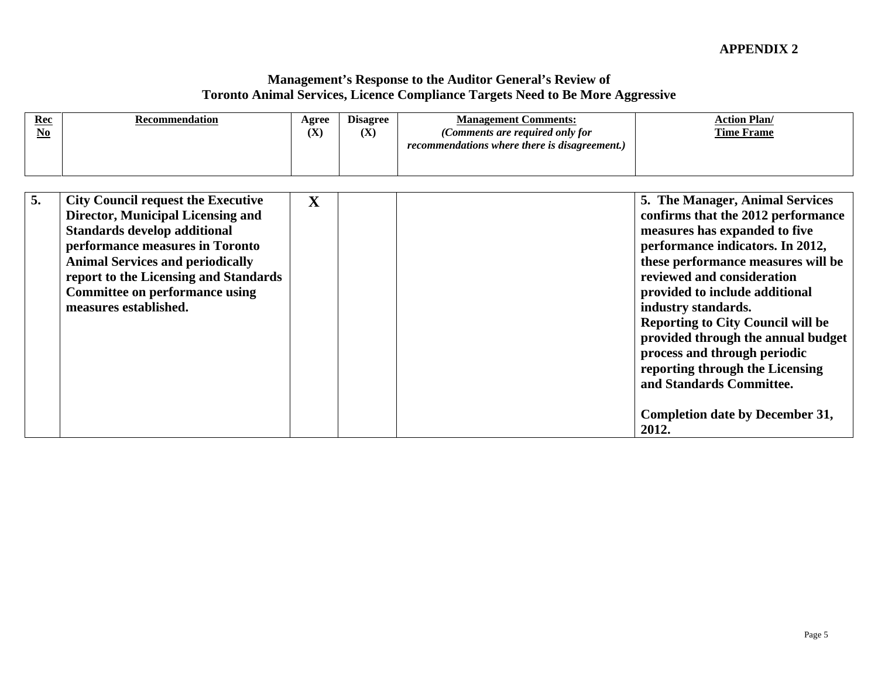| $\frac{\text{Rec}}{\text{No}}$ | Recommendation                                                                                                                                                                                                                                                                 | <b>Agree</b><br>(X) | <b>Disagree</b><br>(X) | <b>Management Comments:</b><br>(Comments are required only for<br>recommendations where there is disagreement.) | <b>Action Plan/</b><br><b>Time Frame</b>                                                                                                                                                                                                                                                                                                                                                                                                                                                      |
|--------------------------------|--------------------------------------------------------------------------------------------------------------------------------------------------------------------------------------------------------------------------------------------------------------------------------|---------------------|------------------------|-----------------------------------------------------------------------------------------------------------------|-----------------------------------------------------------------------------------------------------------------------------------------------------------------------------------------------------------------------------------------------------------------------------------------------------------------------------------------------------------------------------------------------------------------------------------------------------------------------------------------------|
| measures established.          | <b>City Council request the Executive</b><br>Director, Municipal Licensing and<br>Standards develop additional<br>performance measures in Toronto<br><b>Animal Services and periodically</b><br>report to the Licensing and Standards<br><b>Committee on performance using</b> | $\mathbf{X}$        |                        |                                                                                                                 | 5. The Manager, Animal Services<br>confirms that the 2012 performance<br>measures has expanded to five<br>performance indicators. In 2012,<br>these performance measures will be<br>reviewed and consideration<br>provided to include additional<br>industry standards.<br>Reporting to City Council will be<br>provided through the annual budget<br>process and through periodic<br>reporting through the Licensing<br>and Standards Committee.<br>Completion date by December 31,<br>2012. |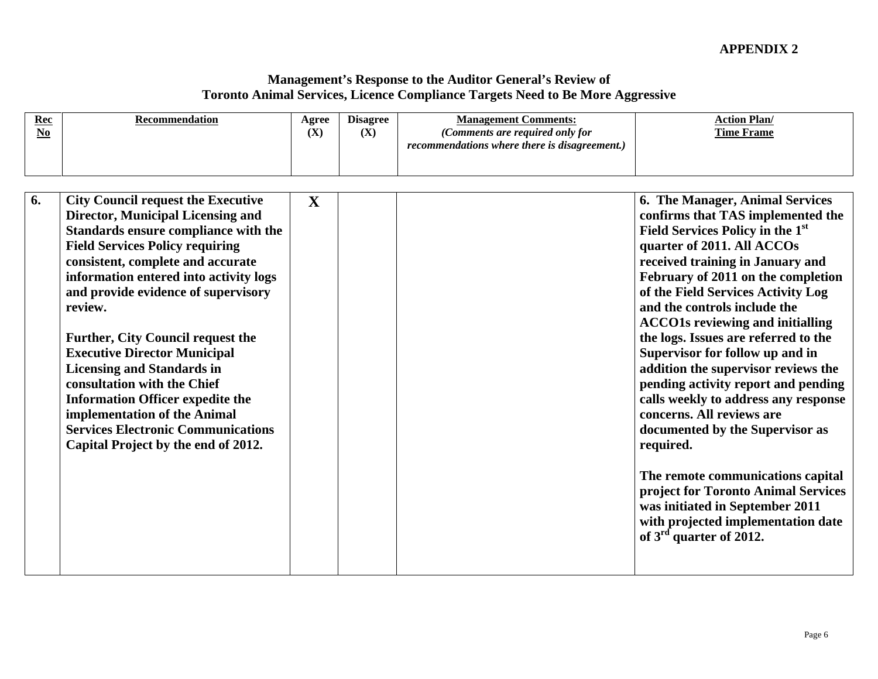| <b>Disagree</b><br>Agree<br><b>Management Comments:</b><br><b>Action Plan/</b><br>Recommendation<br>(X)<br>(Comments are required only for<br><b>Time Frame</b><br>(X)<br>recommendations where there is disagreement.)                                                                                                                                                                                                                                                                                                                                                                                                                                                                                                                                                                                                                                                                                                                                                                                                                                                                                                                                                                                                                                                                                                                                                                                                                                                          |
|----------------------------------------------------------------------------------------------------------------------------------------------------------------------------------------------------------------------------------------------------------------------------------------------------------------------------------------------------------------------------------------------------------------------------------------------------------------------------------------------------------------------------------------------------------------------------------------------------------------------------------------------------------------------------------------------------------------------------------------------------------------------------------------------------------------------------------------------------------------------------------------------------------------------------------------------------------------------------------------------------------------------------------------------------------------------------------------------------------------------------------------------------------------------------------------------------------------------------------------------------------------------------------------------------------------------------------------------------------------------------------------------------------------------------------------------------------------------------------|
| <b>6. The Manager, Animal Services</b><br><b>City Council request the Executive</b><br>$\mathbf{X}$<br><b>Director, Municipal Licensing and</b><br>confirms that TAS implemented the<br>Field Services Policy in the 1 <sup>st</sup><br>Standards ensure compliance with the<br><b>Field Services Policy requiring</b><br>quarter of 2011. All ACCOs<br>received training in January and<br>consistent, complete and accurate<br>information entered into activity logs<br>February of 2011 on the completion<br>of the Field Services Activity Log<br>and provide evidence of supervisory<br>and the controls include the<br>review.<br><b>ACCO1s reviewing and initialling</b><br><b>Further, City Council request the</b><br>the logs. Issues are referred to the<br><b>Executive Director Municipal</b><br>Supervisor for follow up and in<br><b>Licensing and Standards in</b><br>addition the supervisor reviews the<br>consultation with the Chief<br>pending activity report and pending<br><b>Information Officer expedite the</b><br>calls weekly to address any response<br>concerns. All reviews are<br>implementation of the Animal<br><b>Services Electronic Communications</b><br>documented by the Supervisor as<br>Capital Project by the end of 2012.<br>required.<br>The remote communications capital<br>project for Toronto Animal Services<br>was initiated in September 2011<br>with projected implementation date<br>of $3^{\text{rd}}$ quarter of 2012. |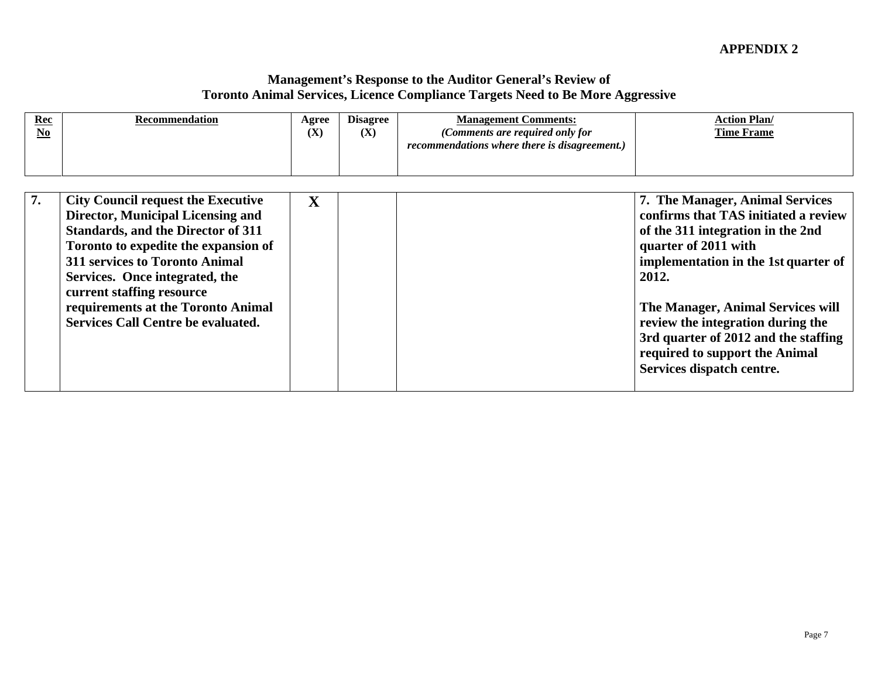| $\frac{\text{Rec}}{\text{No}}$ | <b>Recommendation</b>                                                                                                                                                                                                                                                                                                                            | (X)          | Agree Disagree | (X) | <b>Management Comments:</b><br>(Comments are required only for<br>recommendations where there is disagreement.) | <b>Action Plan/</b><br><b>Time Frame</b>                                                                                                                                                                                                                                                                                                                                      |
|--------------------------------|--------------------------------------------------------------------------------------------------------------------------------------------------------------------------------------------------------------------------------------------------------------------------------------------------------------------------------------------------|--------------|----------------|-----|-----------------------------------------------------------------------------------------------------------------|-------------------------------------------------------------------------------------------------------------------------------------------------------------------------------------------------------------------------------------------------------------------------------------------------------------------------------------------------------------------------------|
|                                | <b>City Council request the Executive</b><br>Director, Municipal Licensing and<br><b>Standards, and the Director of 311</b><br>Toronto to expedite the expansion of<br>311 services to Toronto Animal<br>Services. Once integrated, the<br>current staffing resource<br>requirements at the Toronto Animal<br>Services Call Centre be evaluated. | $\mathbf{X}$ |                |     |                                                                                                                 | 7. The Manager, Animal Services<br>confirms that TAS initiated a review<br>of the 311 integration in the 2nd<br>quarter of 2011 with<br>implementation in the 1st quarter of<br>2012.<br>The Manager, Animal Services will<br>review the integration during the<br>3rd quarter of 2012 and the staffing<br>required to support the Animal<br><b>Services dispatch centre.</b> |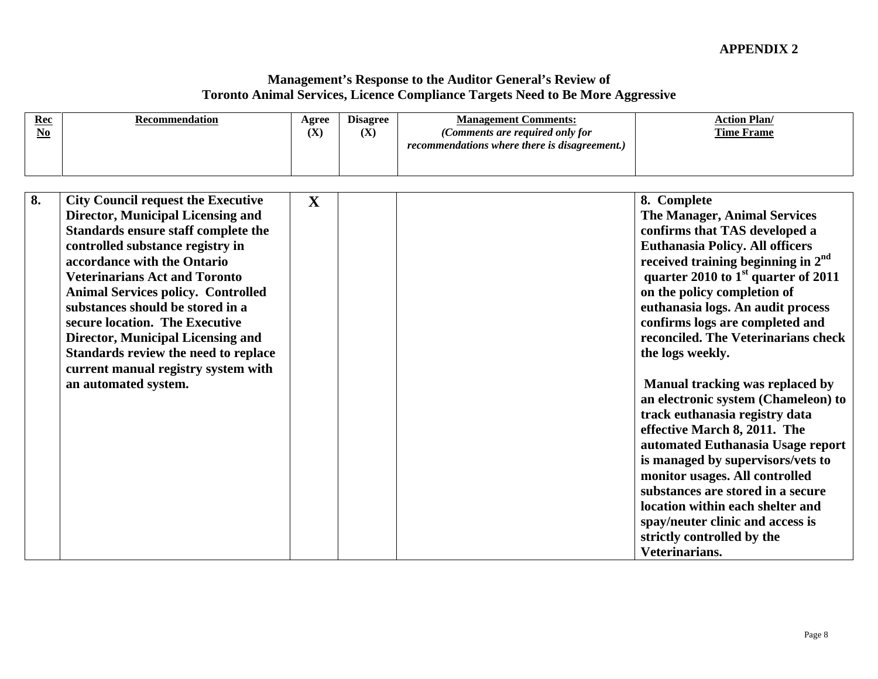| $\frac{Rec}{No}$ | Recommendation                                                                                                                                                                                                                                                                                                                                                                                                                                                                                                | (X)          | Agree Disagree<br>(X) | <b>Management Comments:</b><br>(Comments are required only for<br>recommendations where there is disagreement.) | <b>Action Plan/</b><br><b>Time Frame</b>                                                                                                                                                                                                                                                                                                                                                                                                                                                                                                                                                                                                                                                                                                                                                                                      |
|------------------|---------------------------------------------------------------------------------------------------------------------------------------------------------------------------------------------------------------------------------------------------------------------------------------------------------------------------------------------------------------------------------------------------------------------------------------------------------------------------------------------------------------|--------------|-----------------------|-----------------------------------------------------------------------------------------------------------------|-------------------------------------------------------------------------------------------------------------------------------------------------------------------------------------------------------------------------------------------------------------------------------------------------------------------------------------------------------------------------------------------------------------------------------------------------------------------------------------------------------------------------------------------------------------------------------------------------------------------------------------------------------------------------------------------------------------------------------------------------------------------------------------------------------------------------------|
|                  |                                                                                                                                                                                                                                                                                                                                                                                                                                                                                                               |              |                       |                                                                                                                 |                                                                                                                                                                                                                                                                                                                                                                                                                                                                                                                                                                                                                                                                                                                                                                                                                               |
|                  | <b>City Council request the Executive</b><br><b>Director, Municipal Licensing and</b><br>Standards ensure staff complete the<br>controlled substance registry in<br>accordance with the Ontario<br><b>Veterinarians Act and Toronto</b><br><b>Animal Services policy. Controlled</b><br>substances should be stored in a<br>secure location. The Executive<br><b>Director, Municipal Licensing and</b><br>Standards review the need to replace<br>current manual registry system with<br>an automated system. | $\mathbf{X}$ |                       |                                                                                                                 | 8. Complete<br><b>The Manager, Animal Services</b><br>confirms that TAS developed a<br><b>Euthanasia Policy. All officers</b><br>$\frac{1}{2}$ received training beginning in $2^{\text{nd}}$<br>quarter 2010 to $1st$ quarter of 2011<br>on the policy completion of<br>euthanasia logs. An audit process<br>confirms logs are completed and<br>reconciled. The Veterinarians check<br>the logs weekly.<br>Manual tracking was replaced by<br>an electronic system (Chameleon) to<br>track euthanasia registry data<br>effective March 8, 2011. The<br>automated Euthanasia Usage report<br>is managed by supervisors/vets to<br>monitor usages. All controlled<br>substances are stored in a secure<br>location within each shelter and<br>spay/neuter clinic and access is<br>strictly controlled by the<br>Veterinarians. |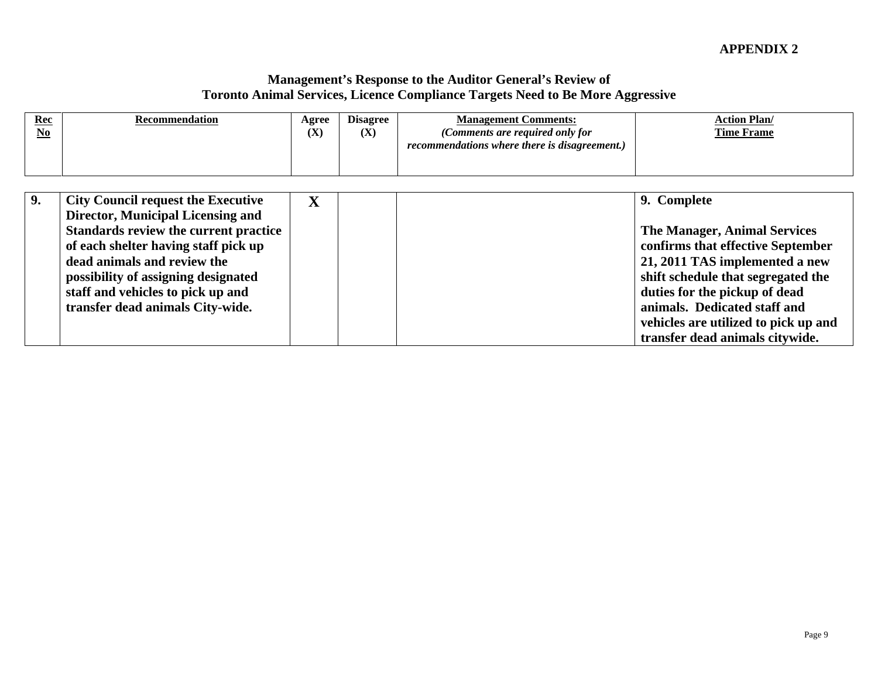| $\frac{\text{Rec}}{\text{No}}$<br><b>Recommendation</b>                                                                                                                                                                                                                                                        | Agree   Disagree<br><b>Management Comments:</b><br>(X)<br>(Comments are required only for<br>(X)<br>recommendations where there is disagreement.) | <b>Action Plan/</b><br><b>Time Frame</b>                                                                                                                                                                                                                                 |
|----------------------------------------------------------------------------------------------------------------------------------------------------------------------------------------------------------------------------------------------------------------------------------------------------------------|---------------------------------------------------------------------------------------------------------------------------------------------------|--------------------------------------------------------------------------------------------------------------------------------------------------------------------------------------------------------------------------------------------------------------------------|
| City Council request the Executive<br>Director, Municipal Licensing and<br><b>Standards review the current practice</b><br>of each shelter having staff pick up<br>dead animals and review the<br>possibility of assigning designated<br>staff and vehicles to pick up and<br>transfer dead animals City-wide. |                                                                                                                                                   | 9. Complete<br><b>The Manager, Animal Services</b><br>confirms that effective September<br>21, 2011 TAS implemented a new<br>shift schedule that segregated the<br>duties for the pickup of dead<br>animals. Dedicated staff and<br>vehicles are utilized to pick up and |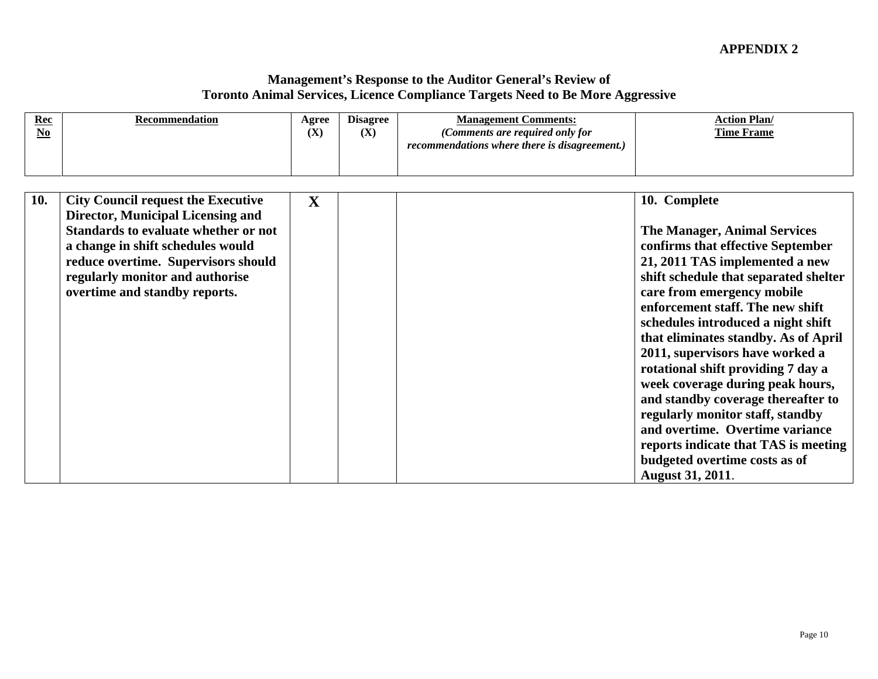| $\frac{Rec}{No}$<br>Recommendation                                                                                                                                                                                                                                         | Agree Disagree<br><b>Management Comments:</b><br>(X)<br>(X)<br>(Comments are required only for<br>recommendations where there is disagreement.) | <b>Action Plan/</b><br><b>Time Frame</b>                                                                                                                                                                                                                                                                                                                                                                                                                                                                                                                                                                                                          |
|----------------------------------------------------------------------------------------------------------------------------------------------------------------------------------------------------------------------------------------------------------------------------|-------------------------------------------------------------------------------------------------------------------------------------------------|---------------------------------------------------------------------------------------------------------------------------------------------------------------------------------------------------------------------------------------------------------------------------------------------------------------------------------------------------------------------------------------------------------------------------------------------------------------------------------------------------------------------------------------------------------------------------------------------------------------------------------------------------|
| 10. City Council request the Executive<br><b>Director, Municipal Licensing and</b><br>Standards to evaluate whether or not<br>a change in shift schedules would<br>reduce overtime. Supervisors should<br>regularly monitor and authorise<br>overtime and standby reports. | $\mathbf{X}$                                                                                                                                    | 10. Complete<br><b>The Manager, Animal Services</b><br>confirms that effective September<br>21, 2011 TAS implemented a new<br>shift schedule that separated shelter<br>care from emergency mobile<br>enforcement staff. The new shift<br>schedules introduced a night shift<br>that eliminates standby. As of April<br>2011, supervisors have worked a<br>rotational shift providing 7 day a<br>week coverage during peak hours,<br>and standby coverage thereafter to<br>regularly monitor staff, standby<br>and overtime. Overtime variance<br>reports indicate that TAS is meeting<br>budgeted overtime costs as of<br><b>August 31, 2011.</b> |